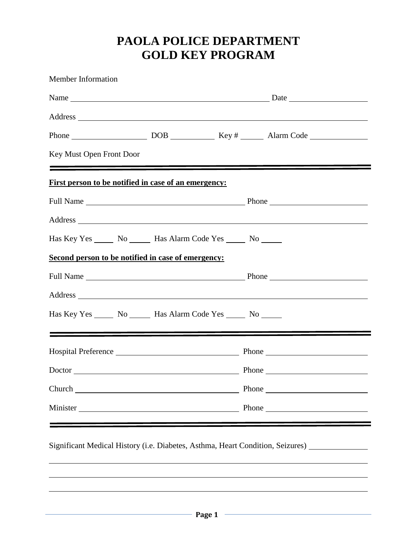# **PAOLA POLICE DEPARTMENT GOLD KEY PROGRAM**

| Key Must Open Front Door                                    |  | <u> 1980 - Johann Stein, marwolaethau a chwaraethau a chwaraethau a chwaraethau a chwaraethau a chwaraethau a chw</u> |  |  |
|-------------------------------------------------------------|--|-----------------------------------------------------------------------------------------------------------------------|--|--|
| <u>First person to be notified in case of an emergency:</u> |  |                                                                                                                       |  |  |
|                                                             |  |                                                                                                                       |  |  |
|                                                             |  |                                                                                                                       |  |  |
|                                                             |  | Has Key Yes _________ No ____________ Has Alarm Code Yes ________ No ________                                         |  |  |
| Second person to be notified in case of emergency:          |  |                                                                                                                       |  |  |
|                                                             |  |                                                                                                                       |  |  |
|                                                             |  |                                                                                                                       |  |  |
|                                                             |  | Has Key Yes ________ No __________ Has Alarm Code Yes ________ No _______                                             |  |  |
|                                                             |  | <u> 1989 - Johann John Stone, mensk politik (* 1958)</u>                                                              |  |  |
|                                                             |  |                                                                                                                       |  |  |
|                                                             |  | Doctor Phone Phone Phone Phone                                                                                        |  |  |
|                                                             |  |                                                                                                                       |  |  |
| Church <u>Channel</u>                                       |  |                                                                                                                       |  |  |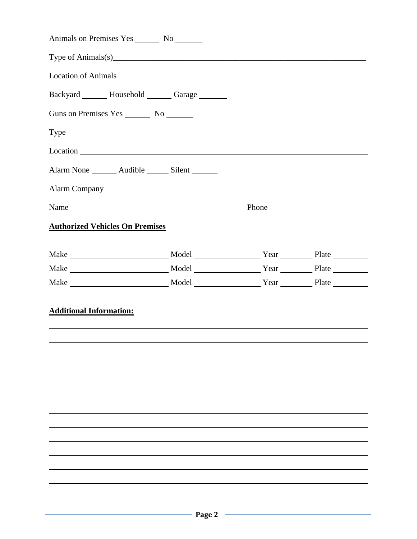| Animals on Premises Yes No                                                                                                                                                                                                                                                                                                                                                                  |  |  |
|---------------------------------------------------------------------------------------------------------------------------------------------------------------------------------------------------------------------------------------------------------------------------------------------------------------------------------------------------------------------------------------------|--|--|
| Type of Animals(s) $\qquad \qquad$ $\qquad \qquad$ $\qquad \qquad$ $\qquad \qquad$ $\qquad \qquad$ $\qquad \qquad$ $\qquad \qquad$ $\qquad \qquad$ $\qquad \qquad$ $\qquad \qquad$ $\qquad \qquad$ $\qquad \qquad$ $\qquad \qquad$ $\qquad \qquad$ $\qquad \qquad$ $\qquad \qquad$ $\qquad \qquad$ $\qquad \qquad$ $\qquad \qquad$ $\qquad \qquad$ $\qquad \qquad$ $\qquad \qquad$ $\qquad$ |  |  |
| <b>Location of Animals</b>                                                                                                                                                                                                                                                                                                                                                                  |  |  |
| Backyard _______ Household _______ Garage _______                                                                                                                                                                                                                                                                                                                                           |  |  |
| Guns on Premises Yes No No No                                                                                                                                                                                                                                                                                                                                                               |  |  |
| $Type \_\_\_\_\_\_\_\_\_$                                                                                                                                                                                                                                                                                                                                                                   |  |  |
|                                                                                                                                                                                                                                                                                                                                                                                             |  |  |
| Alarm None ________ Audible _______ Silent _______                                                                                                                                                                                                                                                                                                                                          |  |  |
| <b>Alarm Company</b>                                                                                                                                                                                                                                                                                                                                                                        |  |  |
| Name Phone Phone                                                                                                                                                                                                                                                                                                                                                                            |  |  |
| <b>Authorized Vehicles On Premises</b>                                                                                                                                                                                                                                                                                                                                                      |  |  |
|                                                                                                                                                                                                                                                                                                                                                                                             |  |  |
|                                                                                                                                                                                                                                                                                                                                                                                             |  |  |
|                                                                                                                                                                                                                                                                                                                                                                                             |  |  |
|                                                                                                                                                                                                                                                                                                                                                                                             |  |  |
| <b>Additional Information:</b>                                                                                                                                                                                                                                                                                                                                                              |  |  |
|                                                                                                                                                                                                                                                                                                                                                                                             |  |  |
|                                                                                                                                                                                                                                                                                                                                                                                             |  |  |
|                                                                                                                                                                                                                                                                                                                                                                                             |  |  |
|                                                                                                                                                                                                                                                                                                                                                                                             |  |  |
|                                                                                                                                                                                                                                                                                                                                                                                             |  |  |
|                                                                                                                                                                                                                                                                                                                                                                                             |  |  |
|                                                                                                                                                                                                                                                                                                                                                                                             |  |  |
|                                                                                                                                                                                                                                                                                                                                                                                             |  |  |
|                                                                                                                                                                                                                                                                                                                                                                                             |  |  |
|                                                                                                                                                                                                                                                                                                                                                                                             |  |  |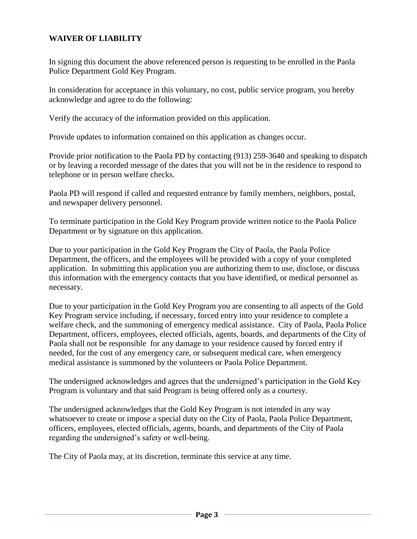# **WAIVER OF LIABILITY**

In signing this document the above referenced person is requesting to be enrolled in the Paola Police Department Gold Key Program.

In consideration for acceptance in this voluntary, no cost, public service program, you hereby acknowledge and agree to do the following:

Verify the accuracy of the information provided on this application.

Provide updates to information contained on this application as changes occur.

Provide prior notification to the Paola PD by contacting (913) 259-3640 and speaking to dispatch or by leaving a recorded message of the dates that you will not be in the residence to respond to telephone or in person welfare checks.

Paola PD will respond if called and requested entrance by family members, neighbors, postal, and newspaper delivery personnel.

To terminate participation in the Gold Key Program provide written notice to the Paola Police Department or by signature on this application.

Due to your participation in the Gold Key Program the City of Paola, the Paola Police Department, the officers, and the employees will be provided with a copy of your completed application. In submitting this application you are authorizing them to use, disclose, or discuss this information with the emergency contacts that you have identified, or medical personnel as necessary.

Due to your participation in the Gold Key Program you are consenting to all aspects of the Gold Key Program service including, if necessary, forced entry into your residence to complete a welfare check, and the summoning of emergency medical assistance. City of Paola, Paola Police Department, officers, employees, elected officials, agents, boards, and departments of the City of Paola shall not be responsible for any damage to your residence caused by forced entry if needed, for the cost of any emergency care, or subsequent medical care, when emergency medical assistance is summoned by the volunteers or Paola Police Department.

The undersigned acknowledges and agrees that the undersigned's participation in the Gold Key Program is voluntary and that said Program is being offered only as a courtesy.

The undersigned acknowledges that the Gold Key Program is not intended in any way whatsoever to create or impose a special duty on the City of Paola, Paola Police Department, officers, employees, elected officials, agents, boards, and departments of the City of Paola regarding the undersigned's safety or well-being.

The City of Paola may, at its discretion, terminate this service at any time.